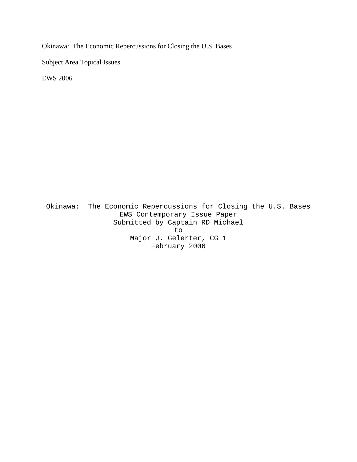Okinawa: The Economic Repercussions for Closing the U.S. Bases

Subject Area Topical Issues

EWS 2006

Okinawa: The Economic Repercussions for Closing the U.S. Bases EWS Contemporary Issue Paper Submitted by Captain RD Michael to Major J. Gelerter, CG 1 February 2006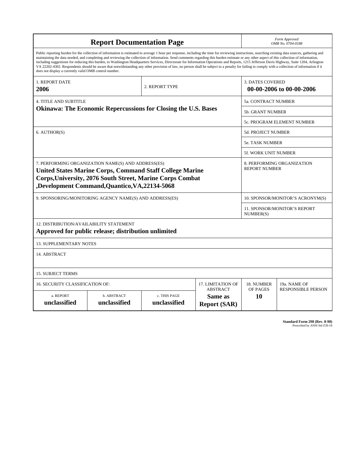| <b>Report Documentation Page</b>                                                                                                                                                                                                                                                                                                                                                                                                                                                                                                                                                                                                                                                                                                                                                                                                                                   |                             |                              |                                                   | Form Approved<br>OMB No. 0704-0188                 |                           |
|--------------------------------------------------------------------------------------------------------------------------------------------------------------------------------------------------------------------------------------------------------------------------------------------------------------------------------------------------------------------------------------------------------------------------------------------------------------------------------------------------------------------------------------------------------------------------------------------------------------------------------------------------------------------------------------------------------------------------------------------------------------------------------------------------------------------------------------------------------------------|-----------------------------|------------------------------|---------------------------------------------------|----------------------------------------------------|---------------------------|
| Public reporting burden for the collection of information is estimated to average 1 hour per response, including the time for reviewing instructions, searching existing data sources, gathering and<br>maintaining the data needed, and completing and reviewing the collection of information. Send comments regarding this burden estimate or any other aspect of this collection of information,<br>including suggestions for reducing this burden, to Washington Headquarters Services, Directorate for Information Operations and Reports, 1215 Jefferson Davis Highway, Suite 1204, Arlington<br>VA 22202-4302. Respondents should be aware that notwithstanding any other provision of law, no person shall be subject to a penalty for failing to comply with a collection of information if it<br>does not display a currently valid OMB control number. |                             |                              |                                                   |                                                    |                           |
| <b>1. REPORT DATE</b><br>2006                                                                                                                                                                                                                                                                                                                                                                                                                                                                                                                                                                                                                                                                                                                                                                                                                                      |                             | 2. REPORT TYPE               |                                                   | <b>3. DATES COVERED</b>                            | 00-00-2006 to 00-00-2006  |
| <b>4. TITLE AND SUBTITLE</b>                                                                                                                                                                                                                                                                                                                                                                                                                                                                                                                                                                                                                                                                                                                                                                                                                                       |                             |                              |                                                   | 5a. CONTRACT NUMBER                                |                           |
| <b>Okinawa: The Economic Repercussions for Closing the U.S. Bases</b>                                                                                                                                                                                                                                                                                                                                                                                                                                                                                                                                                                                                                                                                                                                                                                                              |                             |                              |                                                   | <b>5b. GRANT NUMBER</b>                            |                           |
|                                                                                                                                                                                                                                                                                                                                                                                                                                                                                                                                                                                                                                                                                                                                                                                                                                                                    |                             |                              |                                                   | 5c. PROGRAM ELEMENT NUMBER                         |                           |
| 6. AUTHOR(S)                                                                                                                                                                                                                                                                                                                                                                                                                                                                                                                                                                                                                                                                                                                                                                                                                                                       |                             |                              |                                                   | <b>5d. PROJECT NUMBER</b>                          |                           |
|                                                                                                                                                                                                                                                                                                                                                                                                                                                                                                                                                                                                                                                                                                                                                                                                                                                                    |                             |                              |                                                   | <b>5e. TASK NUMBER</b>                             |                           |
|                                                                                                                                                                                                                                                                                                                                                                                                                                                                                                                                                                                                                                                                                                                                                                                                                                                                    |                             |                              |                                                   | <b>5f. WORK UNIT NUMBER</b>                        |                           |
| 7. PERFORMING ORGANIZATION NAME(S) AND ADDRESS(ES)<br><b>United States Marine Corps, Command Staff College Marine</b><br><b>Corps, University, 2076 South Street, Marine Corps Combat</b><br>,Development Command,Quantico,VA,22134-5068                                                                                                                                                                                                                                                                                                                                                                                                                                                                                                                                                                                                                           |                             |                              |                                                   | 8. PERFORMING ORGANIZATION<br><b>REPORT NUMBER</b> |                           |
| 9. SPONSORING/MONITORING AGENCY NAME(S) AND ADDRESS(ES)                                                                                                                                                                                                                                                                                                                                                                                                                                                                                                                                                                                                                                                                                                                                                                                                            |                             |                              |                                                   | 10. SPONSOR/MONITOR'S ACRONYM(S)                   |                           |
|                                                                                                                                                                                                                                                                                                                                                                                                                                                                                                                                                                                                                                                                                                                                                                                                                                                                    |                             |                              |                                                   | 11. SPONSOR/MONITOR'S REPORT<br>NUMBER(S)          |                           |
| 12. DISTRIBUTION/AVAILABILITY STATEMENT<br>Approved for public release; distribution unlimited                                                                                                                                                                                                                                                                                                                                                                                                                                                                                                                                                                                                                                                                                                                                                                     |                             |                              |                                                   |                                                    |                           |
| <b>13. SUPPLEMENTARY NOTES</b>                                                                                                                                                                                                                                                                                                                                                                                                                                                                                                                                                                                                                                                                                                                                                                                                                                     |                             |                              |                                                   |                                                    |                           |
| 14. ABSTRACT                                                                                                                                                                                                                                                                                                                                                                                                                                                                                                                                                                                                                                                                                                                                                                                                                                                       |                             |                              |                                                   |                                                    |                           |
| <b>15. SUBJECT TERMS</b>                                                                                                                                                                                                                                                                                                                                                                                                                                                                                                                                                                                                                                                                                                                                                                                                                                           |                             |                              |                                                   |                                                    |                           |
| <b>17. LIMITATION OF</b><br>16. SECURITY CLASSIFICATION OF:                                                                                                                                                                                                                                                                                                                                                                                                                                                                                                                                                                                                                                                                                                                                                                                                        |                             |                              |                                                   | 18. NUMBER                                         | 19a. NAME OF              |
| a. REPORT<br>unclassified                                                                                                                                                                                                                                                                                                                                                                                                                                                                                                                                                                                                                                                                                                                                                                                                                                          | b. ABSTRACT<br>unclassified | c. THIS PAGE<br>unclassified | <b>ABSTRACT</b><br>Same as<br><b>Report (SAR)</b> | OF PAGES<br>10                                     | <b>RESPONSIBLE PERSON</b> |

**Standard Form 298 (Rev. 8-98)**<br>Prescribed by ANSI Std Z39-18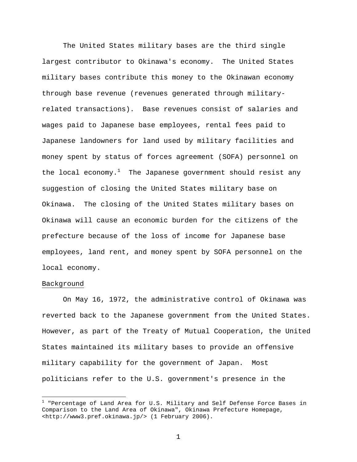The United States military bases are the third single largest contributor to Okinawa's economy. The United States military bases contribute this money to the Okinawan economy through base revenue (revenues generated through militaryrelated transactions). Base revenues consist of salaries and wages paid to Japanese base employees, rental fees paid to Japanese landowners for land used by military facilities and money spent by status of forces agreement (SOFA) personnel on the local economy. $^1$  The Japanese government should resist any suggestion of closing the United States military base on Okinawa. The closing of the United States military bases on Okinawa will cause an economic burden for the citizens of the prefecture because of the loss of income for Japanese base employees, land rent, and money spent by SOFA personnel on the local economy.

# Background

 $\overline{a}$ 

On May 16, 1972, the administrative control of Okinawa was reverted back to the Japanese government from the United States. However, as part of the Treaty of Mutual Cooperation, the United States maintained its military bases to provide an offensive military capability for the government of Japan. Most politicians refer to the U.S. government's presence in the

 $^{\rm 1}$  "Percentage of Land Area for U.S. Military and Self Defense Force Bases in Comparison to the Land Area of Okinawa", Okinawa Prefecture Homepage, <http://www3.pref.okinawa.jp/> (1 February 2006).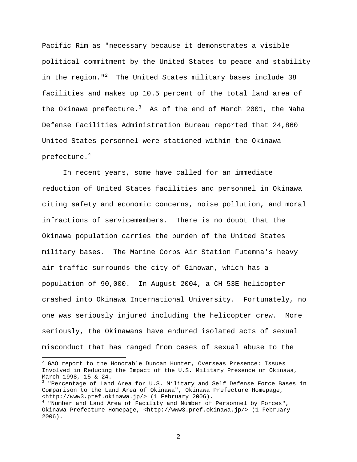Pacific Rim as "necessary because it demonstrates a visible political commitment by the United States to peace and stability in the region."<sup>2</sup> The United States military bases include 38 facilities and makes up 10.5 percent of the total land area of the Okinawa prefecture.<sup>3</sup> As of the end of March 2001, the Naha Defense Facilities Administration Bureau reported that 24,860 United States personnel were stationed within the Okinawa prefecture. $^4\,$ 

In recent years, some have called for an immediate reduction of United States facilities and personnel in Okinawa citing safety and economic concerns, noise pollution, and moral infractions of servicemembers. There is no doubt that the Okinawa population carries the burden of the United States military bases. The Marine Corps Air Station Futemna's heavy air traffic surrounds the city of Ginowan, which has a population of 90,000. In August 2004, a CH-53E helicopter crashed into Okinawa International University. Fortunately, no one was seriously injured including the helicopter crew. More seriously, the Okinawans have endured isolated acts of sexual misconduct that has ranged from cases of sexual abuse to the

 $\overline{a}$ 

 $^2$  GAO report to the Honorable Duncan Hunter, Overseas Presence: Issues Involved in Reducing the Impact of the U.S. Military Presence on Okinawa, March 1998, 15 & 24.

<sup>&</sup>lt;sup>3</sup> "Percentage of Land Area for U.S. Military and Self Defense Force Bases in Comparison to the Land Area of Okinawa", Okinawa Prefecture Homepage, <http://www3.pref.okinawa.jp/> (1 February 2006).

<sup>4</sup> "Number and Land Area of Facility and Number of Personnel by Forces", Okinawa Prefecture Homepage, <http://www3.pref.okinawa.jp/> (1 February 2006).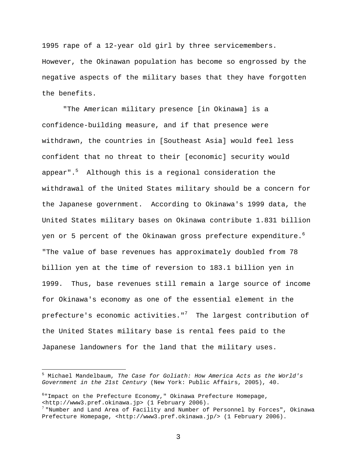1995 rape of a 12-year old girl by three servicemembers. However, the Okinawan population has become so engrossed by the negative aspects of the military bases that they have forgotten the benefits.

"The American military presence [in Okinawa] is a confidence-building measure, and if that presence were withdrawn, the countries in [Southeast Asia] would feel less confident that no threat to their [economic] security would appear".<sup>5</sup> Although this is a regional consideration the withdrawal of the United States military should be a concern for the Japanese government. According to Okinawa's 1999 data, the United States military bases on Okinawa contribute 1.831 billion yen or 5 percent of the Okinawan gross prefecture expenditure. $^6$ "The value of base revenues has approximately doubled from 78 billion yen at the time of reversion to 183.1 billion yen in 1999. Thus, base revenues still remain a large source of income for Okinawa's economy as one of the essential element in the prefecture's economic activities." $^7$  The largest contribution of the United States military base is rental fees paid to the Japanese landowners for the land that the military uses.

 $\overline{a}$ 

<sup>5</sup> Michael Mandelbaum, *The Case for Goliath: How America Acts as the World's Government in the 21st Century* (New York: Public Affairs, 2005), 40.

<sup>6</sup> "Impact on the Prefecture Economy," Okinawa Prefecture Homepage, <http://www3.pref.okinawa.jp> (1 February 2006).

 $^7$  "Number and Land Area of Facility and Number of Personnel by Forces", Okinawa Prefecture Homepage, <http://www3.pref.okinawa.jp/> (1 February 2006).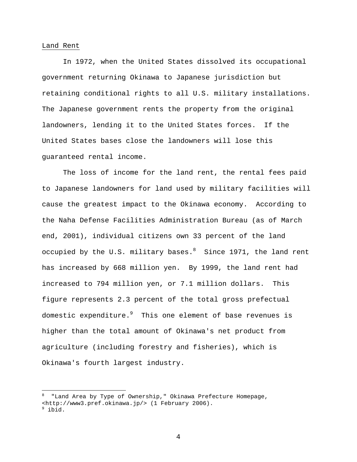#### Land Rent

In 1972, when the United States dissolved its occupational government returning Okinawa to Japanese jurisdiction but retaining conditional rights to all U.S. military installations. The Japanese government rents the property from the original landowners, lending it to the United States forces. If the United States bases close the landowners will lose this guaranteed rental income.

The loss of income for the land rent, the rental fees paid to Japanese landowners for land used by military facilities will cause the greatest impact to the Okinawa economy. According to the Naha Defense Facilities Administration Bureau (as of March end, 2001), individual citizens own 33 percent of the land occupied by the U.S. military bases. $^8$  Since 1971, the land rent has increased by 668 million yen. By 1999, the land rent had increased to 794 million yen, or 7.1 million dollars. This figure represents 2.3 percent of the total gross prefectual domestic expenditure. $^9$  This one element of base revenues is higher than the total amount of Okinawa's net product from agriculture (including forestry and fisheries), which is Okinawa's fourth largest industry.

 $\overline{a}$ 

<sup>8</sup> "Land Area by Type of Ownership," Okinawa Prefecture Homepage, <http://www3.pref.okinawa.jp/> (1 February 2006).

 $9$  ibid.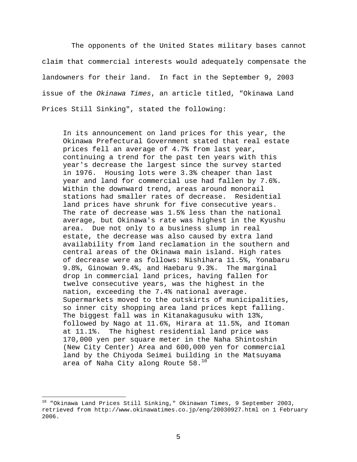The opponents of the United States military bases cannot claim that commercial interests would adequately compensate the landowners for their land. In fact in the September 9, 2003 issue of the *Okinawa Times*, an article titled, "Okinawa Land Prices Still Sinking", stated the following:

In its announcement on land prices for this year, the Okinawa Prefectural Government stated that real estate prices fell an average of 4.7% from last year, continuing a trend for the past ten years with this year's decrease the largest since the survey started in 1976. Housing lots were 3.3% cheaper than last year and land for commercial use had fallen by 7.6%. Within the downward trend, areas around monorail stations had smaller rates of decrease. Residential land prices have shrunk for five consecutive years. The rate of decrease was 1.5% less than the national average, but Okinawa's rate was highest in the Kyushu area. Due not only to a business slump in real estate, the decrease was also caused by extra land availability from land reclamation in the southern and central areas of the Okinawa main island. High rates of decrease were as follows: Nishihara 11.5%, Yonabaru 9.8%, Ginowan 9.4%, and Haebaru 9.3%. The marginal drop in commercial land prices, having fallen for twelve consecutive years, was the highest in the nation, exceeding the 7.4% national average. Supermarkets moved to the outskirts of municipalities, so inner city shopping area land prices kept falling. The biggest fall was in Kitanakagusuku with 13%, followed by Nago at 11.6%, Hirara at 11.5%, and Itoman at 11.1%. The highest residential land price was 170,000 yen per square meter in the Naha Shintoshin (New City Center) Area and 600,000 yen for commercial land by the Chiyoda Seimei building in the Matsuyama area of Naha City along Route  $58.^{10}$ 

 $\overline{a}$ 

<sup>&</sup>lt;sup>10</sup> "Okinawa Land Prices Still Sinking," Okinawan Times, 9 September 2003, retrieved from http://www.okinawatimes.co.jp/eng/20030927.html on 1 February 2006.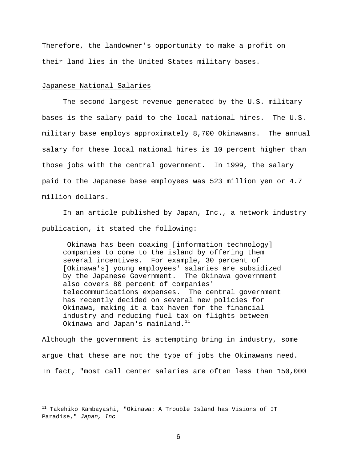Therefore, the landowner's opportunity to make a profit on their land lies in the United States military bases.

# Japanese National Salaries

1

 The second largest revenue generated by the U.S. military bases is the salary paid to the local national hires. The U.S. military base employs approximately 8,700 Okinawans. The annual salary for these local national hires is 10 percent higher than those jobs with the central government. In 1999, the salary paid to the Japanese base employees was 523 million yen or 4.7 million dollars.

 In an article published by Japan, Inc., a network industry publication, it stated the following:

 Okinawa has been coaxing [information technology] companies to come to the island by offering them several incentives. For example, 30 percent of [Okinawa's] young employees' salaries are subsidized by the Japanese Government. The Okinawa government also covers 80 percent of companies' telecommunications expenses. The central government has recently decided on several new policies for Okinawa, making it a tax haven for the financial industry and reducing fuel tax on flights between Okinawa and Japan's mainland. $11$ 

Although the government is attempting bring in industry, some argue that these are not the type of jobs the Okinawans need. In fact, "most call center salaries are often less than 150,000

 $11$  Takehiko Kambayashi, "Okinawa: A Trouble Island has Visions of IT Paradise," *Japan, Inc.*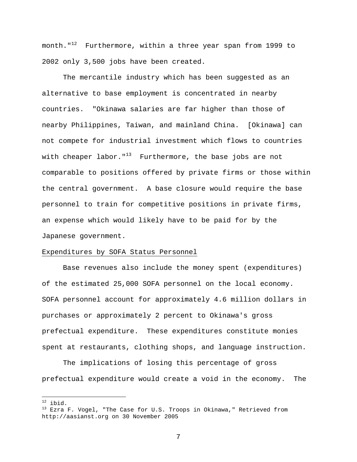month."<sup>12</sup> Furthermore, within a three year span from 1999 to 2002 only 3,500 jobs have been created.

The mercantile industry which has been suggested as an alternative to base employment is concentrated in nearby countries. "Okinawa salaries are far higher than those of nearby Philippines, Taiwan, and mainland China. [Okinawa] can not compete for industrial investment which flows to countries with cheaper labor." $13$  Furthermore, the base jobs are not comparable to positions offered by private firms or those within the central government. A base closure would require the base personnel to train for competitive positions in private firms, an expense which would likely have to be paid for by the Japanese government.

#### Expenditures by SOFA Status Personnel

 Base revenues also include the money spent (expenditures) of the estimated 25,000 SOFA personnel on the local economy. SOFA personnel account for approximately 4.6 million dollars in purchases or approximately 2 percent to Okinawa's gross prefectual expenditure. These expenditures constitute monies spent at restaurants, clothing shops, and language instruction.

 The implications of losing this percentage of gross prefectual expenditure would create a void in the economy. The

 $12$  ibid.

 $^{13}$  Ezra F. Vogel, "The Case for U.S. Troops in Okinawa," Retrieved from http://aasianst.org on 30 November 2005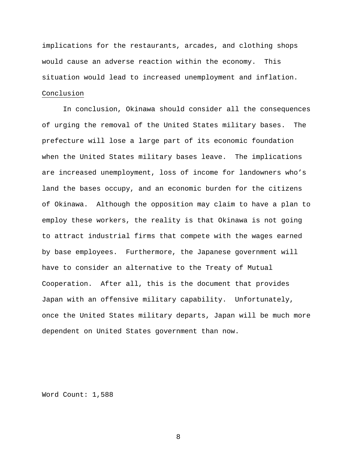implications for the restaurants, arcades, and clothing shops would cause an adverse reaction within the economy. This situation would lead to increased unemployment and inflation. Conclusion

In conclusion, Okinawa should consider all the consequences of urging the removal of the United States military bases. The prefecture will lose a large part of its economic foundation when the United States military bases leave. The implications are increased unemployment, loss of income for landowners who's land the bases occupy, and an economic burden for the citizens of Okinawa. Although the opposition may claim to have a plan to employ these workers, the reality is that Okinawa is not going to attract industrial firms that compete with the wages earned by base employees. Furthermore, the Japanese government will have to consider an alternative to the Treaty of Mutual Cooperation. After all, this is the document that provides Japan with an offensive military capability. Unfortunately, once the United States military departs, Japan will be much more dependent on United States government than now.

Word Count: 1,588